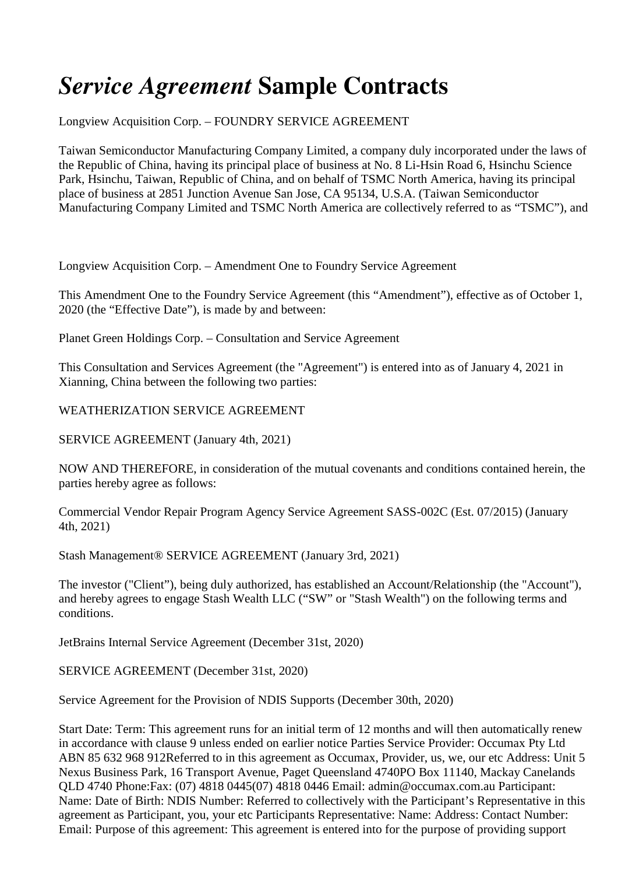# *Service Agreement* **Sample Contracts**

Longview Acquisition Corp. – FOUNDRY SERVICE AGREEMENT

Taiwan Semiconductor Manufacturing Company Limited, a company duly incorporated under the laws of the Republic of China, having its principal place of business at No. 8 Li-Hsin Road 6, Hsinchu Science Park, Hsinchu, Taiwan, Republic of China, and on behalf of TSMC North America, having its principal place of business at 2851 Junction Avenue San Jose, CA 95134, U.S.A. (Taiwan Semiconductor Manufacturing Company Limited and TSMC North America are collectively referred to as "TSMC"), and

Longview Acquisition Corp. – Amendment One to Foundry Service Agreement

This Amendment One to the Foundry Service Agreement (this "Amendment"), effective as of October 1, 2020 (the "Effective Date"), is made by and between:

Planet Green Holdings Corp. – Consultation and Service Agreement

This Consultation and Services Agreement (the "Agreement") is entered into as of January 4, 2021 in Xianning, China between the following two parties:

WEATHERIZATION SERVICE AGREEMENT

SERVICE AGREEMENT (January 4th, 2021)

NOW AND THEREFORE, in consideration of the mutual covenants and conditions contained herein, the parties hereby agree as follows:

Commercial Vendor Repair Program Agency Service Agreement SASS-002C (Est. 07/2015) (January 4th, 2021)

Stash Management® SERVICE AGREEMENT (January 3rd, 2021)

The investor ("Client"), being duly authorized, has established an Account/Relationship (the "Account"), and hereby agrees to engage Stash Wealth LLC ("SW" or "Stash Wealth") on the following terms and conditions.

JetBrains Internal Service Agreement (December 31st, 2020)

SERVICE AGREEMENT (December 31st, 2020)

Service Agreement for the Provision of NDIS Supports (December 30th, 2020)

Start Date: Term: This agreement runs for an initial term of 12 months and will then automatically renew in accordance with clause 9 unless ended on earlier notice Parties Service Provider: Occumax Pty Ltd ABN 85 632 968 912Referred to in this agreement as Occumax, Provider, us, we, our etc Address: Unit 5 Nexus Business Park, 16 Transport Avenue, Paget Queensland 4740PO Box 11140, Mackay Canelands QLD 4740 Phone:Fax: (07) 4818 0445(07) 4818 0446 Email: admin@occumax.com.au Participant: Name: Date of Birth: NDIS Number: Referred to collectively with the Participant's Representative in this agreement as Participant, you, your etc Participants Representative: Name: Address: Contact Number: Email: Purpose of this agreement: This agreement is entered into for the purpose of providing support